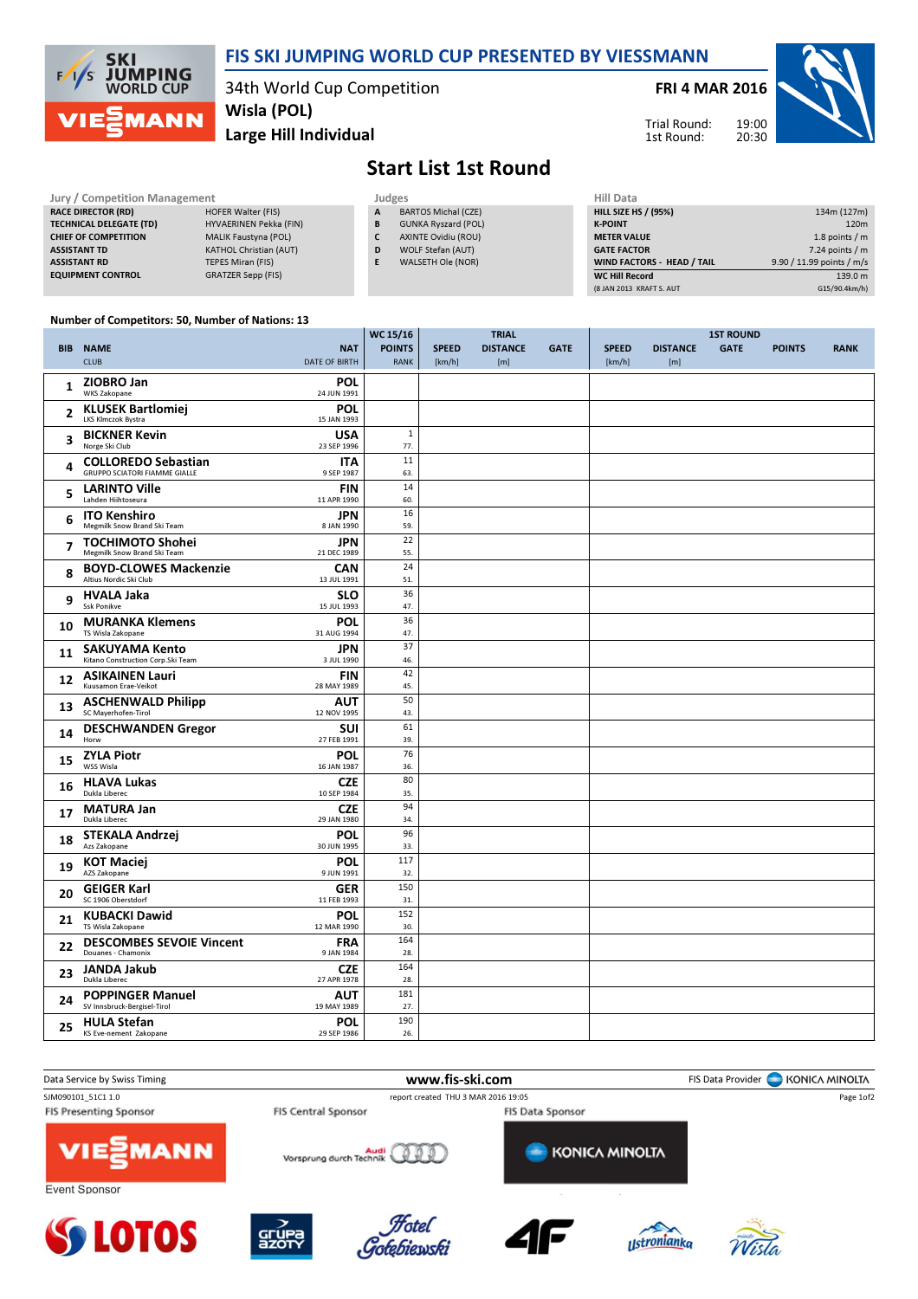

## FIS SKI JUMPING WORLD CUP PRESENTED BY VIESSMANN

34th World Cup Competition Wisla (POL)

FRI 4 MAR 2016

Trial Round: 1st Round:

19:00



Large Hill Individual

## Start List 1st Round

| Jury / Competition Management  |                               |   | Judges                     |                    |  |  |  |
|--------------------------------|-------------------------------|---|----------------------------|--------------------|--|--|--|
| <b>RACE DIRECTOR (RD)</b>      | <b>HOFER Walter (FIS)</b>     | A | <b>BARTOS Michal (CZE)</b> | <b>HILL SIZE H</b> |  |  |  |
| <b>TECHNICAL DELEGATE (TD)</b> | HYVAERINEN Pekka (FIN)        | в | <b>GUNKA Ryszard (POL)</b> | <b>K-POINT</b>     |  |  |  |
| <b>CHIEF OF COMPETITION</b>    | <b>MALIK Faustyna (POL)</b>   |   | AXINTE Ovidiu (ROU)        | <b>METER VAI</b>   |  |  |  |
| <b>ASSISTANT TD</b>            | <b>KATHOL Christian (AUT)</b> | D | WOLF Stefan (AUT)          | <b>GATE FACT</b>   |  |  |  |
| <b>ASSISTANT RD</b>            | TEPES Miran (FIS)             |   | WALSETH Ole (NOR)          | <b>WIND FACT</b>   |  |  |  |
| <b>EQUIPMENT CONTROL</b>       | <b>GRATZER Sepp (FIS)</b>     |   |                            | <b>WC Hill Reg</b> |  |  |  |

| нііі рата                   |                           |
|-----------------------------|---------------------------|
| <b>HILL SIZE HS / (95%)</b> | 134m (127m)               |
| <b>K-POINT</b>              | 120 <sub>m</sub>          |
| <b>METER VALUE</b>          | 1.8 points $/m$           |
| <b>GATE FACTOR</b>          | $7.24$ points / m         |
| WIND FACTORS - HEAD / TAIL  | 9.90 / 11.99 points / m/s |
| <b>WC Hill Record</b>       | 139.0 m                   |
| (8 JAN 2013 KRAFT S. AUT    | G15/90.4km/h)             |

## Number of Competitors: 50, Number of Nations: 13

|                |                                                            |                           | WC 15/16      |              | <b>TRIAL</b>    |             |              |                 | <b>1ST ROUND</b> |               |             |
|----------------|------------------------------------------------------------|---------------------------|---------------|--------------|-----------------|-------------|--------------|-----------------|------------------|---------------|-------------|
|                | <b>BIB NAME</b>                                            | <b>NAT</b>                | <b>POINTS</b> | <b>SPEED</b> | <b>DISTANCE</b> | <b>GATE</b> | <b>SPEED</b> | <b>DISTANCE</b> | <b>GATE</b>      | <b>POINTS</b> | <b>RANK</b> |
|                | <b>CLUB</b>                                                | <b>DATE OF BIRTH</b>      | <b>RANK</b>   | [km/h]       | [m]             |             | [km/h]       | [m]             |                  |               |             |
|                | ZIOBRO Jan                                                 | <b>POL</b>                |               |              |                 |             |              |                 |                  |               |             |
| 1              | <b>WKS Zakopane</b>                                        | 24 JUN 1991               |               |              |                 |             |              |                 |                  |               |             |
|                | <b>KLUSEK Bartlomiej</b>                                   | <b>POL</b>                |               |              |                 |             |              |                 |                  |               |             |
| 2              | LKS Klmczok Bystra                                         | 15 JAN 1993               |               |              |                 |             |              |                 |                  |               |             |
| 3              | <b>BICKNER Kevin</b>                                       | <b>USA</b>                | $\mathbf{1}$  |              |                 |             |              |                 |                  |               |             |
|                | Norge Ski Club                                             | 23 SEP 1996               | 77.           |              |                 |             |              |                 |                  |               |             |
| 4              | <b>COLLOREDO Sebastian</b>                                 | <b>ITA</b>                | 11            |              |                 |             |              |                 |                  |               |             |
|                | <b>GRUPPO SCIATORI FIAMME GIALLE</b>                       | 9 SEP 1987                | 63.           |              |                 |             |              |                 |                  |               |             |
| 5              | <b>LARINTO Ville</b><br>Lahden Hiihtoseura                 | <b>FIN</b><br>11 APR 1990 | 14<br>60.     |              |                 |             |              |                 |                  |               |             |
|                |                                                            | <b>JPN</b>                | 16            |              |                 |             |              |                 |                  |               |             |
| 6              | <b>ITO Kenshiro</b><br>Megmilk Snow Brand Ski Team         | 8 JAN 1990                | 59.           |              |                 |             |              |                 |                  |               |             |
|                | <b>TOCHIMOTO Shohei</b>                                    | <b>JPN</b>                | 22            |              |                 |             |              |                 |                  |               |             |
| $\overline{ }$ | Megmilk Snow Brand Ski Team                                | 21 DEC 1989               | 55.           |              |                 |             |              |                 |                  |               |             |
|                | <b>BOYD-CLOWES Mackenzie</b>                               | <b>CAN</b>                | 24            |              |                 |             |              |                 |                  |               |             |
| 8              | Altius Nordic Ski Club                                     | 13 JUL 1991               | 51.           |              |                 |             |              |                 |                  |               |             |
| 9              | <b>HVALA Jaka</b>                                          | <b>SLO</b>                | 36            |              |                 |             |              |                 |                  |               |             |
|                | <b>Ssk Ponikve</b>                                         | 15 JUL 1993               | 47.           |              |                 |             |              |                 |                  |               |             |
| 10             | <b>MURANKA Klemens</b>                                     | POL                       | 36            |              |                 |             |              |                 |                  |               |             |
|                | TS Wisla Zakopane                                          | 31 AUG 1994               | 47.           |              |                 |             |              |                 |                  |               |             |
| 11             | <b>SAKUYAMA Kento</b><br>Kitano Construction Corp.Ski Team | <b>JPN</b><br>3 JUL 1990  | 37<br>46.     |              |                 |             |              |                 |                  |               |             |
|                |                                                            |                           | 42            |              |                 |             |              |                 |                  |               |             |
| 12             | <b>ASIKAINEN Lauri</b><br>Kuusamon Erae-Veikot             | <b>FIN</b><br>28 MAY 1989 | 45.           |              |                 |             |              |                 |                  |               |             |
|                | <b>ASCHENWALD Philipp</b>                                  | <b>AUT</b>                | 50            |              |                 |             |              |                 |                  |               |             |
| 13             | SC Mayerhofen-Tirol                                        | 12 NOV 1995               | 43.           |              |                 |             |              |                 |                  |               |             |
| 14             | <b>DESCHWANDEN Gregor</b>                                  | SUI                       | 61            |              |                 |             |              |                 |                  |               |             |
|                | Horw                                                       | 27 FEB 1991               | 39.           |              |                 |             |              |                 |                  |               |             |
| 15             | <b>ZYLA Piotr</b>                                          | <b>POL</b>                | 76            |              |                 |             |              |                 |                  |               |             |
|                | WSS Wisla                                                  | 16 JAN 1987               | 36.           |              |                 |             |              |                 |                  |               |             |
| 16             | <b>HLAVA Lukas</b><br>Dukla Liberec                        | <b>CZE</b><br>10 SEP 1984 | 80<br>35.     |              |                 |             |              |                 |                  |               |             |
|                |                                                            |                           | 94            |              |                 |             |              |                 |                  |               |             |
| 17             | <b>MATURA Jan</b><br>Dukla Liberec                         | <b>CZE</b><br>29 JAN 1980 | 34.           |              |                 |             |              |                 |                  |               |             |
|                | <b>STEKALA Andrzej</b>                                     | <b>POL</b>                | 96            |              |                 |             |              |                 |                  |               |             |
| 18             | Azs Zakopane                                               | 30 JUN 1995               | 33.           |              |                 |             |              |                 |                  |               |             |
| 19             | <b>KOT Maciej</b>                                          | <b>POL</b>                | 117           |              |                 |             |              |                 |                  |               |             |
|                | AZS Zakopane                                               | 9 JUN 1991                | 32.           |              |                 |             |              |                 |                  |               |             |
| 20             | <b>GEIGER Karl</b>                                         | <b>GER</b>                | 150           |              |                 |             |              |                 |                  |               |             |
|                | SC 1906 Oberstdorf                                         | 11 FEB 1993               | 31.           |              |                 |             |              |                 |                  |               |             |
| 21             | <b>KUBACKI Dawid</b>                                       | <b>POL</b>                | 152           |              |                 |             |              |                 |                  |               |             |
|                | TS Wisla Zakopane                                          | 12 MAR 1990               | 30.<br>164    |              |                 |             |              |                 |                  |               |             |
| 22             | <b>DESCOMBES SEVOIE Vincent</b><br>Douanes - Chamonix      | <b>FRA</b><br>9 JAN 1984  | 28.           |              |                 |             |              |                 |                  |               |             |
|                | JANDA Jakub                                                | <b>CZE</b>                | 164           |              |                 |             |              |                 |                  |               |             |
| 23             | Dukla Liberec                                              | 27 APR 1978               | 28.           |              |                 |             |              |                 |                  |               |             |
| 24             | <b>POPPINGER Manuel</b>                                    | <b>AUT</b>                | 181           |              |                 |             |              |                 |                  |               |             |
|                | SV Innsbruck-Bergisel-Tirol                                | 19 MAY 1989               | 27.           |              |                 |             |              |                 |                  |               |             |
| 25             | <b>HULA Stefan</b>                                         | <b>POL</b>                | 190           |              |                 |             |              |                 |                  |               |             |
|                | KS Eve-nement Zakopane                                     | 29 SEP 1986               | 26.           |              |                 |             |              |                 |                  |               |             |